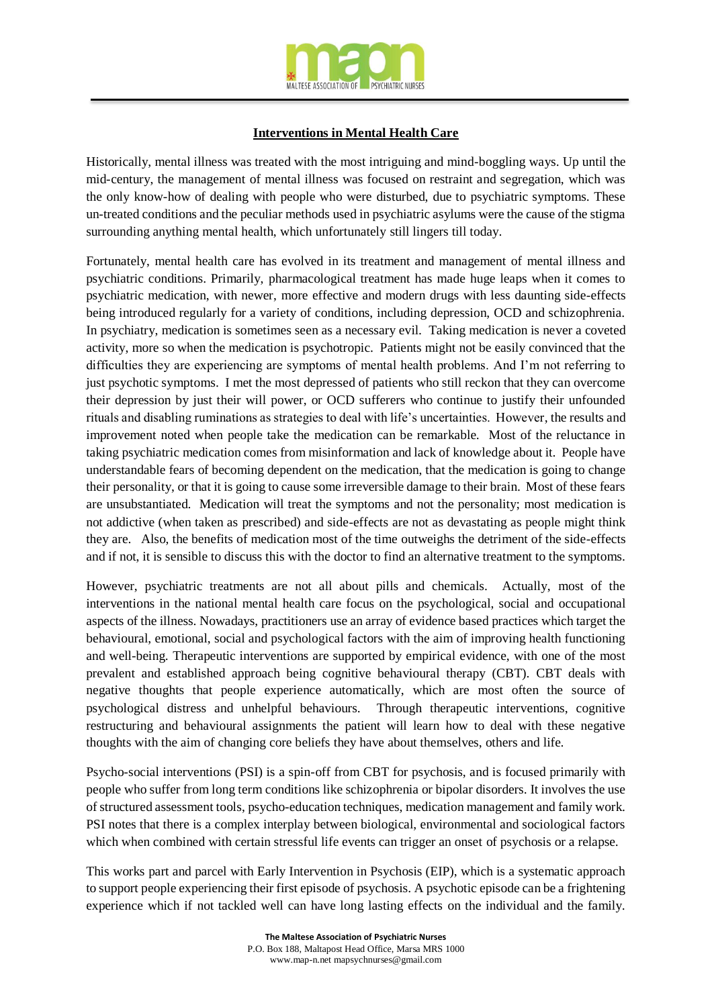

## **Interventions in Mental Health Care**

Historically, mental illness was treated with the most intriguing and mind-boggling ways. Up until the mid-century, the management of mental illness was focused on restraint and segregation, which was the only know-how of dealing with people who were disturbed, due to psychiatric symptoms. These un-treated conditions and the peculiar methods used in psychiatric asylums were the cause of the stigma surrounding anything mental health, which unfortunately still lingers till today.

Fortunately, mental health care has evolved in its treatment and management of mental illness and psychiatric conditions. Primarily, pharmacological treatment has made huge leaps when it comes to psychiatric medication, with newer, more effective and modern drugs with less daunting side-effects being introduced regularly for a variety of conditions, including depression, OCD and schizophrenia. In psychiatry, medication is sometimes seen as a necessary evil. Taking medication is never a coveted activity, more so when the medication is psychotropic. Patients might not be easily convinced that the difficulties they are experiencing are symptoms of mental health problems. And I'm not referring to just psychotic symptoms. I met the most depressed of patients who still reckon that they can overcome their depression by just their will power, or OCD sufferers who continue to justify their unfounded rituals and disabling ruminations as strategies to deal with life's uncertainties. However, the results and improvement noted when people take the medication can be remarkable. Most of the reluctance in taking psychiatric medication comes from misinformation and lack of knowledge about it. People have understandable fears of becoming dependent on the medication, that the medication is going to change their personality, or that it is going to cause some irreversible damage to their brain. Most of these fears are unsubstantiated. Medication will treat the symptoms and not the personality; most medication is not addictive (when taken as prescribed) and side-effects are not as devastating as people might think they are. Also, the benefits of medication most of the time outweighs the detriment of the side-effects and if not, it is sensible to discuss this with the doctor to find an alternative treatment to the symptoms.

However, psychiatric treatments are not all about pills and chemicals. Actually, most of the interventions in the national mental health care focus on the psychological, social and occupational aspects of the illness. Nowadays, practitioners use an array of evidence based practices which target the behavioural, emotional, social and psychological factors with the aim of improving health functioning and well-being. Therapeutic interventions are supported by empirical evidence, with one of the most prevalent and established approach being cognitive behavioural therapy (CBT). CBT deals with negative thoughts that people experience automatically, which are most often the source of psychological distress and unhelpful behaviours. Through therapeutic interventions, cognitive restructuring and behavioural assignments the patient will learn how to deal with these negative thoughts with the aim of changing core beliefs they have about themselves, others and life.

Psycho-social interventions (PSI) is a spin-off from CBT for psychosis, and is focused primarily with people who suffer from long term conditions like schizophrenia or bipolar disorders. It involves the use of structured assessment tools, psycho-education techniques, medication management and family work. PSI notes that there is a complex interplay between biological, environmental and sociological factors which when combined with certain stressful life events can trigger an onset of psychosis or a relapse.

This works part and parcel with Early Intervention in Psychosis (EIP), which is a systematic approach to support people experiencing their first episode of psychosis. A psychotic episode can be a frightening experience which if not tackled well can have long lasting effects on the individual and the family.